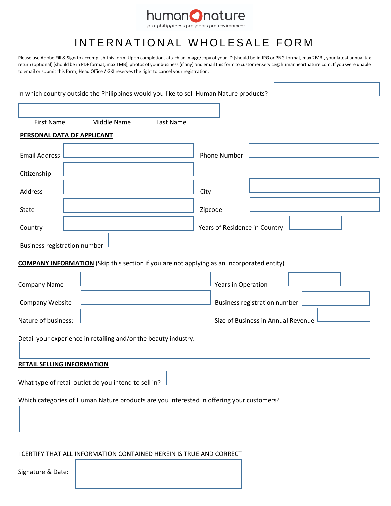

## INTERNATIONAL WHOLESALE FORM

Please use Adobe Fill & Sign to accomplish this form. Upon completion, attach an image/copy of your ID [should be in JPG or PNG format, max 2MB], your latest annual tax return (optional) [should be in PDF format, max 1MB], photos of your business (if any) and email this form to customer.service@humanheartnature.com. If you were unable to email or submit this form, Head Office / GKI reserves the right to cancel your registration.

|                                   |                                                                 |           | In which country outside the Philippines would you like to sell Human Nature products?           |
|-----------------------------------|-----------------------------------------------------------------|-----------|--------------------------------------------------------------------------------------------------|
|                                   |                                                                 |           |                                                                                                  |
| <b>First Name</b>                 | Middle Name                                                     | Last Name |                                                                                                  |
| PERSONAL DATA OF APPLICANT        |                                                                 |           |                                                                                                  |
| <b>Email Address</b>              |                                                                 |           | <b>Phone Number</b>                                                                              |
| Citizenship                       |                                                                 |           |                                                                                                  |
| Address                           |                                                                 |           | City                                                                                             |
| State                             |                                                                 |           | Zipcode                                                                                          |
| Country                           |                                                                 |           | Years of Residence in Country                                                                    |
| Business registration number      |                                                                 |           |                                                                                                  |
|                                   |                                                                 |           | <b>COMPANY INFORMATION</b> (Skip this section if you are not applying as an incorporated entity) |
| Company Name                      |                                                                 |           | Years in Operation                                                                               |
| Company Website                   |                                                                 |           | Business registration number                                                                     |
| Nature of business:               |                                                                 |           | Size of Business in Annual Revenue                                                               |
|                                   | Detail your experience in retailing and/or the beauty industry. |           |                                                                                                  |
| <b>RETAIL SELLING INFORMATION</b> |                                                                 |           |                                                                                                  |
|                                   | What type of retail outlet do you intend to sell in?            |           |                                                                                                  |
|                                   |                                                                 |           | Which categories of Human Nature products are you interested in offering your customers?         |
|                                   |                                                                 |           |                                                                                                  |
|                                   |                                                                 |           |                                                                                                  |

I CERTIFY THAT ALL INFORMATION CONTAINED HEREIN IS TRUE AND CORRECT

Signature & Date: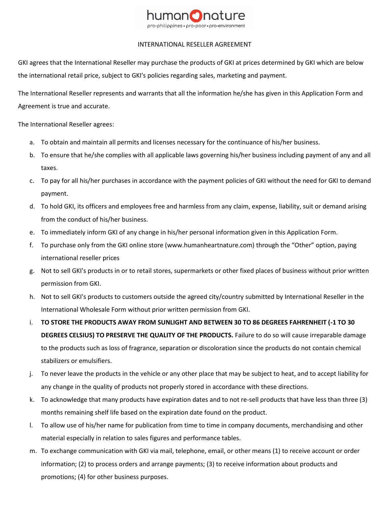

## INTERNATIONAL RESELLER AGREEMENT

GKI agrees that the International Reseller may purchase the products of GKI at prices determined by GKI which are below the international retail price, subject to GKI's policies regarding sales, marketing and payment.

The International Reseller represents and warrants that all the information he/she has given in this Application Form and Agreement is true and accurate.

The International Reseller agrees:

- a. To obtain and maintain all permits and licenses necessary for the continuance of his/her business.
- b. To ensure that he/she complies with all applicable laws governing his/her business including payment of any and all taxes.
- c. To pay for all his/her purchases in accordance with the payment policies of GKI without the need for GKI to demand payment.
- d. To hold GKI, its officers and employees free and harmless from any claim, expense, liability, suit or demand arising from the conduct of his/her business.
- e. To immediately inform GKI of any change in his/her personal information given in this Application Form.
- f. To purchase only from the GKI online store (www.humanheartnature.com) through the "Other" option, paying international reseller prices
- g. Not to sell GKI's products in or to retail stores, supermarkets or other fixed places of business without prior written permission from GKI.
- h. Not to sell GKI's products to customers outside the agreed city/country submitted by International Reseller in the International Wholesale Form without prior written permission from GKI.
- i. **TO STORE THE PRODUCTS AWAY FROM SUNLIGHT AND BETWEEN 30 TO 86 DEGREES FAHRENHEIT (-1 TO 30 DEGREES CELSIUS) TO PRESERVE THE QUALITY OF THE PRODUCTS.** Failure to do so will cause irreparable damage to the products such as loss of fragrance, separation or discoloration since the products do not contain chemical stabilizers or emulsifiers.
- j. To never leave the products in the vehicle or any other place that may be subject to heat, and to accept liability for any change in the quality of products not properly stored in accordance with these directions.
- k. To acknowledge that many products have expiration dates and to not re-sell products that have less than three (3) months remaining shelf life based on the expiration date found on the product.
- l. To allow use of his/her name for publication from time to time in company documents, merchandising and other material especially in relation to sales figures and performance tables.
- m. To exchange communication with GKI via mail, telephone, email, or other means (1) to receive account or order information; (2) to process orders and arrange payments; (3) to receive information about products and promotions; (4) for other business purposes.